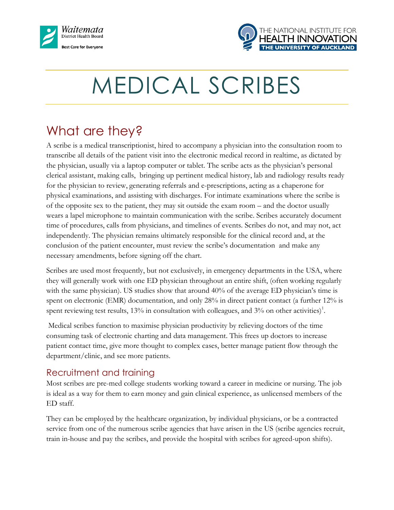



# MEDICAL SCRIBES

# What are they?

A scribe is a medical transcriptionist, hired to accompany a physician into the consultation room to transcribe all details of the patient visit into the electronic medical record in realtime, as dictated by the physician, usually via a laptop computer or tablet. The scribe acts as the physician's personal clerical assistant, making calls, bringing up pertinent medical history, lab and radiology results ready for the physician to review, generating referrals and e-prescriptions, acting as a chaperone for physical examinations, and assisting with discharges. For intimate examinations where the scribe is of the opposite sex to the patient, they may sit outside the exam room – and the doctor usually wears a lapel microphone to maintain communication with the scribe. Scribes accurately document time of procedures, calls from physicians, and timelines of events. Scribes do not, and may not, act independently. The physician remains ultimately responsible for the clinical record and, at the conclusion of the patient encounter, must review the scribe's documentation and make any necessary amendments, before signing off the chart.

Scribes are used most frequently, but not exclusively, in emergency departments in the USA, where they will generally work with one ED physician throughout an entire shift, (often working regularly with the same physician). US studies show that around 40% of the average ED physician's time is spent on electronic (EMR) documentation, and only 28% in direct patient contact (a further 12% is spent reviewing test results, 13% in consultation with colleagues, and 3% on other activities)<sup>1</sup>.

Medical scribes function to maximise physician productivity by relieving doctors of the time consuming task of electronic charting and data management. This frees up doctors to increase patient contact time, give more thought to complex cases, better manage patient flow through the department/clinic, and see more patients.

#### Recruitment and training

Most scribes are pre-med college students working toward a career in medicine or nursing. The job is ideal as a way for them to earn money and gain clinical experience, as unlicensed members of the ED staff.

They can be employed by the healthcare organization, by individual physicians, or be a contracted service from one of the numerous scribe agencies that have arisen in the US (scribe agencies recruit, train in-house and pay the scribes, and provide the hospital with scribes for agreed-upon shifts).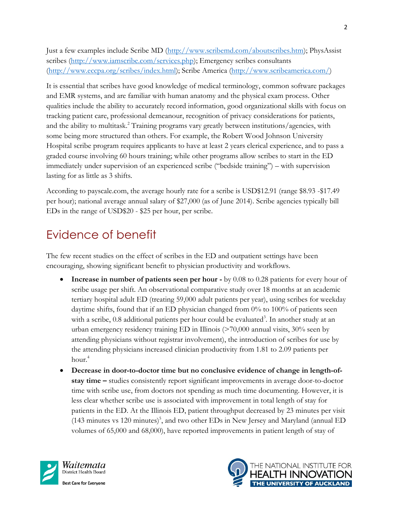Just a few examples include Scribe MD [\(http://www.scribemd.com/aboutscribes.htm\)](http://www.scribemd.com/aboutscribes.htm); PhysAssist scribes [\(http://www.iamscribe.com/services.php\)](http://www.iamscribe.com/services.php); Emergency scribes consultants [\(http://www.eccpa.org/scribes/index.html\)](http://www.eccpa.org/scribes/index.html); Scribe America [\(http://www.scribeamerica.com/\)](http://www.scribeamerica.com/)

It is essential that scribes have good knowledge of medical terminology, common software packages and EMR systems, and are familiar with human anatomy and the physical exam process. Other qualities include the ability to accurately record information, good organizational skills with focus on tracking patient care, professional demeanour, recognition of privacy considerations for patients, and the ability to multitask. <sup>2</sup> Training programs vary greatly between institutions/agencies, with some being more structured than others. For example, the Robert Wood Johnson University Hospital scribe program requires applicants to have at least 2 years clerical experience, and to pass a graded course involving 60 hours training; while other programs allow scribes to start in the ED immediately under supervision of an experienced scribe ("bedside training") – with supervision lasting for as little as 3 shifts.

According to payscale.com, the average hourly rate for a scribe is USD\$12.91 (range \$8.93 -\$17.49 per hour); national average annual salary of \$27,000 (as of June 2014). Scribe agencies typically bill EDs in the range of USD\$20 - \$25 per hour, per scribe.

## Evidence of benefit

The few recent studies on the effect of scribes in the ED and outpatient settings have been encouraging, showing significant benefit to physician productivity and workflows.

- **Increase in number of patients seen per hour -** by 0.08 to 0.28 patients for every hour of scribe usage per shift. An observational comparative study over 18 months at an academic tertiary hospital adult ED (treating 59,000 adult patients per year), using scribes for weekday daytime shifts, found that if an ED physician changed from 0% to 100% of patients seen with a scribe, 0.8 additional patients per hour could be evaluated<sup>3</sup>. In another study at an urban emergency residency training ED in Illinois (>70,000 annual visits, 30% seen by attending physicians without registrar involvement), the introduction of scribes for use by the attending physicians increased clinician productivity from 1.81 to 2.09 patients per hour.<sup>4</sup>
- **Decrease in door-to-doctor time but no conclusive evidence of change in length-ofstay time –** studies consistently report significant improvements in average door-to-doctor time with scribe use, from doctors not spending as much time documenting. However, it is less clear whether scribe use is associated with improvement in total length of stay for patients in the ED. At the Illinois ED, patient throughput decreased by 23 minutes per visit (143 minutes vs 120 minutes)<sup>5</sup>, and two other EDs in New Jersey and Maryland (annual ED volumes of 65,000 and 68,000), have reported improvements in patient length of stay of



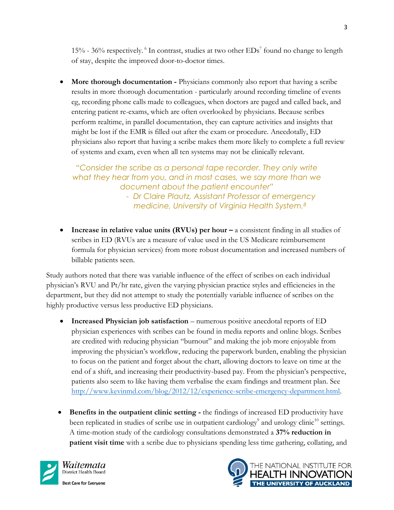15% - 36% respectively. <sup>6</sup> In contrast, studies at two other  $EDs^7$  found no change to length of stay, despite the improved door-to-doctor times.

 **More thorough documentation -** Physicians commonly also report that having a scribe results in more thorough documentation - particularly around recording timeline of events eg, recording phone calls made to colleagues, when doctors are paged and called back, and entering patient re-exams, which are often overlooked by physicians. Because scribes perform realtime, in parallel documentation, they can capture activities and insights that might be lost if the EMR is filled out after the exam or procedure. Anecdotally, ED physicians also report that having a scribe makes them more likely to complete a full review of systems and exam, even when all ten systems may not be clinically relevant.

*"Consider the scribe as a personal tape recorder. They only write what they hear from you, and in most cases, we say more than we document about the patient encounter" - Dr Claire Plautz, Assistant Professor of emergency* 

• **Increase in relative value units (RVUs) per hour – a consistent finding in all studies of** scribes in ED (RVUs are a measure of value used in the US Medicare reimbursement formula for physician services) from more robust documentation and increased numbers of

*medicine, University of Virginia Health System.<sup>8</sup>*

Study authors noted that there was variable influence of the effect of scribes on each individual physician's RVU and Pt/hr rate, given the varying physician practice styles and efficiencies in the department, but they did not attempt to study the potentially variable influence of scribes on the highly productive versus less productive ED physicians.

- **Increased Physician job satisfaction** numerous positive anecdotal reports of ED physician experiences with scribes can be found in media reports and online blogs. Scribes are credited with reducing physician "burnout" and making the job more enjoyable from improving the physician's workflow, reducing the paperwork burden, enabling the physician to focus on the patient and forget about the chart, allowing doctors to leave on time at the end of a shift, and increasing their productivity-based pay. From the physician's perspective, patients also seem to like having them verbalise the exam findings and treatment plan. See [http://www.kevinmd.com/blog/2012/12/experience-scribe-emergency-department.html.](http://www.kevinmd.com/blog/2012/12/experience-scribe-emergency-department.html)
- **Benefits in the outpatient clinic setting -** the findings of increased ED productivity have been replicated in studies of scribe use in outpatient cardiology<sup>9</sup> and urology clinic<sup>10</sup> settings. A time-motion study of the cardiology consultations demonstrated a **37% reduction in patient visit time** with a scribe due to physicians spending less time gathering, collating, and



billable patients seen.

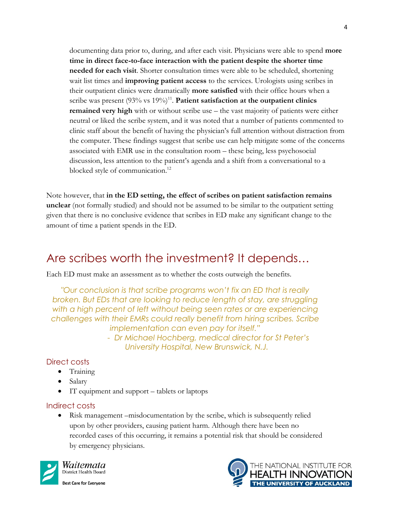documenting data prior to, during, and after each visit. Physicians were able to spend **more time in direct face-to-face interaction with the patient despite the shorter time needed for each visit**. Shorter consultation times were able to be scheduled, shortening wait list times and **improving patient access** to the services. Urologists using scribes in their outpatient clinics were dramatically **more satisfied** with their office hours when a scribe was present (93% vs 19%)<sup>11</sup>. Patient satisfaction at the outpatient clinics **remained very high** with or without scribe use – the vast majority of patients were either neutral or liked the scribe system, and it was noted that a number of patients commented to clinic staff about the benefit of having the physician's full attention without distraction from the computer. These findings suggest that scribe use can help mitigate some of the concerns associated with EMR use in the consultation room – these being, less psychosocial discussion, less attention to the patient's agenda and a shift from a conversational to a blocked style of communication.<sup>12</sup>

Note however, that **in the ED setting, the effect of scribes on patient satisfaction remains unclear** (not formally studied) and should not be assumed to be similar to the outpatient setting given that there is no conclusive evidence that scribes in ED make any significant change to the amount of time a patient spends in the ED.

### Are scribes worth the investment? It depends…

Each ED must make an assessment as to whether the costs outweigh the benefits.

*"Our conclusion is that scribe programs won't fix an ED that is really broken. But EDs that are looking to reduce length of stay, are struggling*  with a high percent of left without being seen rates or are experiencing *challenges with their EMRs could really benefit from hiring scribes. Scribe implementation can even pay for itself."*

> *- Dr Michael Hochberg, medical director for St Peter's University Hospital, New Brunswick, N.J.*

#### Direct costs

- Training
- Salary
- IT equipment and support tablets or laptops

#### Indirect costs

 Risk management –misdocumentation by the scribe, which is subsequently relied upon by other providers, causing patient harm. Although there have been no recorded cases of this occurring, it remains a potential risk that should be considered by emergency physicians.



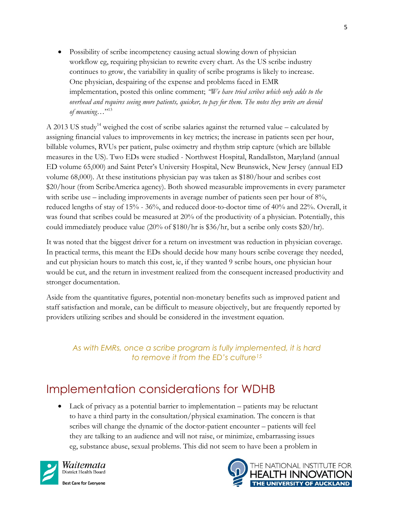Possibility of scribe incompetency causing actual slowing down of physician workflow eg, requiring physician to rewrite every chart. As the US scribe industry continues to grow, the variability in quality of scribe programs is likely to increase. One physician, despairing of the expense and problems faced in EMR implementation, posted this online comment; *"We have tried scribes which only adds to the overhead and requires seeing more patients, quicker, to pay for them. The notes they write are devoid of meaning…*" 13

A 2013 US study<sup>14</sup> weighed the cost of scribe salaries against the returned value – calculated by assigning financial values to improvements in key metrics; the increase in patients seen per hour, billable volumes, RVUs per patient, pulse oximetry and rhythm strip capture (which are billable measures in the US). Two EDs were studied - Northwest Hospital, Randallston, Maryland (annual ED volume 65,000) and Saint Peter's University Hospital, New Brunswick, New Jersey (annual ED volume 68,000). At these institutions physician pay was taken as \$180/hour and scribes cost \$20/hour (from ScribeAmerica agency). Both showed measurable improvements in every parameter with scribe use – including improvements in average number of patients seen per hour of  $8\%$ , reduced lengths of stay of 15% - 36%, and reduced door-to-doctor time of 40% and 22%. Overall, it was found that scribes could be measured at 20% of the productivity of a physician. Potentially, this could immediately produce value (20% of \$180/hr is \$36/hr, but a scribe only costs \$20/hr).

It was noted that the biggest driver for a return on investment was reduction in physician coverage. In practical terms, this meant the EDs should decide how many hours scribe coverage they needed, and cut physician hours to match this cost, ie, if they wanted 9 scribe hours, one physician hour would be cut, and the return in investment realized from the consequent increased productivity and stronger documentation.

Aside from the quantitative figures, potential non-monetary benefits such as improved patient and staff satisfaction and morale, can be difficult to measure objectively, but are frequently reported by providers utilizing scribes and should be considered in the investment equation.

*As with EMRs, once a scribe program is fully implemented, it is hard to remove it from the ED's culture<sup>15</sup>*

## Implementation considerations for WDHB

 Lack of privacy as a potential barrier to implementation – patients may be reluctant to have a third party in the consultation/physical examination. The concern is that scribes will change the dynamic of the doctor-patient encounter – patients will feel they are talking to an audience and will not raise, or minimize, embarrassing issues eg, substance abuse, sexual problems. This did not seem to have been a problem in